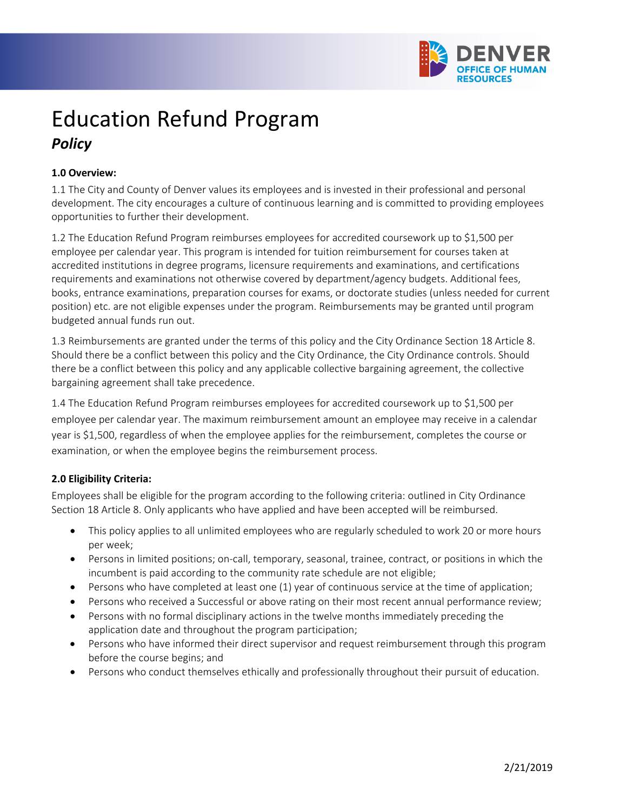

# Education Refund Program *Policy*

## **1.0 Overview:**

1.1 The City and County of Denver values its employees and is invested in their professional and personal development. The city encourages a culture of continuous learning and is committed to providing employees opportunities to further their development.

1.2 The Education Refund Program reimburses employees for accredited coursework up to \$1,500 per employee per calendar year. This program is intended for tuition reimbursement for courses taken at accredited institutions in degree programs, licensure requirements and examinations, and certifications requirements and examinations not otherwise covered by department/agency budgets. Additional fees, books, entrance examinations, preparation courses for exams, or doctorate studies (unless needed for current position) etc. are not eligible expenses under the program. Reimbursements may be granted until program budgeted annual funds run out.

1.3 Reimbursements are granted under the terms of this policy and the City Ordinance Section 18 Article 8. Should there be a conflict between this policy and the City Ordinance, the City Ordinance controls. Should there be a conflict between this policy and any applicable collective bargaining agreement, the collective bargaining agreement shall take precedence.

1.4 The Education Refund Program reimburses employees for accredited coursework up to \$1,500 per employee per calendar year. The maximum reimbursement amount an employee may receive in a calendar year is \$1,500, regardless of when the employee applies for the reimbursement, completes the course or examination, or when the employee begins the reimbursement process.

# **2.0 Eligibility Criteria:**

Employees shall be eligible for the program according to the following criteria: outlined in City Ordinance Section 18 Article 8. Only applicants who have applied and have been accepted will be reimbursed.

- This policy applies to all unlimited employees who are regularly scheduled to work 20 or more hours per week;
- Persons in limited positions; on-call, temporary, seasonal, trainee, contract, or positions in which the incumbent is paid according to the community rate schedule are not eligible;
- Persons who have completed at least one (1) year of continuous service at the time of application;
- Persons who received a Successful or above rating on their most recent annual performance review;
- Persons with no formal disciplinary actions in the twelve months immediately preceding the application date and throughout the program participation;
- Persons who have informed their direct supervisor and request reimbursement through this program before the course begins; and
- Persons who conduct themselves ethically and professionally throughout their pursuit of education.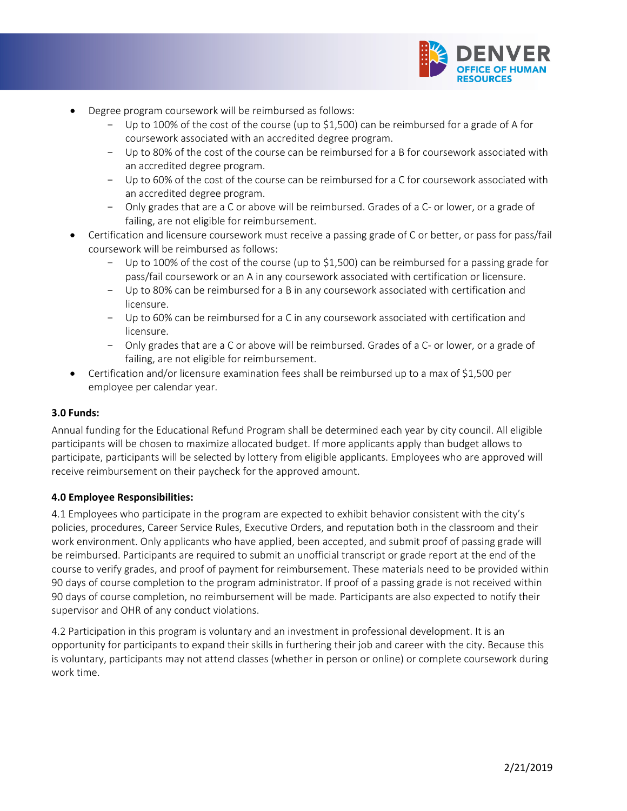

- Degree program coursework will be reimbursed as follows:
	- Up to 100% of the cost of the course (up to \$1,500) can be reimbursed for a grade of A for coursework associated with an accredited degree program.
	- Up to 80% of the cost of the course can be reimbursed for a B for coursework associated with an accredited degree program.
	- Up to 60% of the cost of the course can be reimbursed for a C for coursework associated with an accredited degree program.
	- Only grades that are a C or above will be reimbursed. Grades of a C- or lower, or a grade of failing, are not eligible for reimbursement.
- Certification and licensure coursework must receive a passing grade of C or better, or pass for pass/fail coursework will be reimbursed as follows:
	- Up to 100% of the cost of the course (up to \$1,500) can be reimbursed for a passing grade for pass/fail coursework or an A in any coursework associated with certification or licensure.
	- Up to 80% can be reimbursed for a B in any coursework associated with certification and licensure.
	- Up to 60% can be reimbursed for a C in any coursework associated with certification and licensure.
	- Only grades that are a C or above will be reimbursed. Grades of a C- or lower, or a grade of failing, are not eligible for reimbursement.
- Certification and/or licensure examination fees shall be reimbursed up to a max of \$1,500 per employee per calendar year.

## **3.0 Funds:**

Annual funding for the Educational Refund Program shall be determined each year by city council. All eligible participants will be chosen to maximize allocated budget. If more applicants apply than budget allows to participate, participants will be selected by lottery from eligible applicants. Employees who are approved will receive reimbursement on their paycheck for the approved amount.

#### **4.0 Employee Responsibilities:**

4.1 Employees who participate in the program are expected to exhibit behavior consistent with the city's policies, procedures, Career Service Rules, Executive Orders, and reputation both in the classroom and their work environment. Only applicants who have applied, been accepted, and submit proof of passing grade will be reimbursed. Participants are required to submit an unofficial transcript or grade report at the end of the course to verify grades, and proof of payment for reimbursement. These materials need to be provided within 90 days of course completion to the program administrator. If proof of a passing grade is not received within 90 days of course completion, no reimbursement will be made. Participants are also expected to notify their supervisor and OHR of any conduct violations.

4.2 Participation in this program is voluntary and an investment in professional development. It is an opportunity for participants to expand their skills in furthering their job and career with the city. Because this is voluntary, participants may not attend classes (whether in person or online) or complete coursework during work time.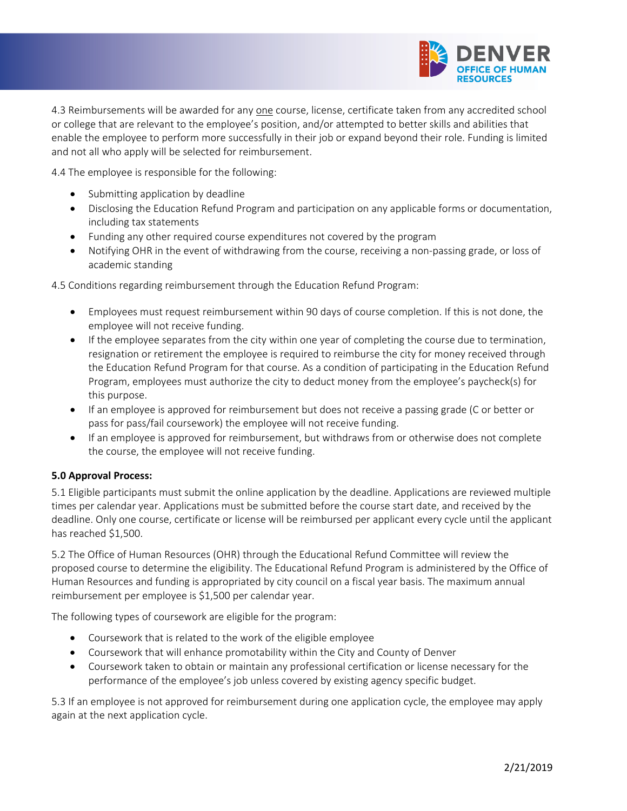

4.3 Reimbursements will be awarded for any one course, license, certificate taken from any accredited school or college that are relevant to the employee's position, and/or attempted to better skills and abilities that enable the employee to perform more successfully in their job or expand beyond their role. Funding is limited and not all who apply will be selected for reimbursement.

4.4 The employee is responsible for the following:

- Submitting application by deadline
- Disclosing the Education Refund Program and participation on any applicable forms or documentation, including tax statements
- Funding any other required course expenditures not covered by the program
- Notifying OHR in the event of withdrawing from the course, receiving a non-passing grade, or loss of academic standing

4.5 Conditions regarding reimbursement through the Education Refund Program:

- Employees must request reimbursement within 90 days of course completion. If this is not done, the employee will not receive funding.
- If the employee separates from the city within one year of completing the course due to termination, resignation or retirement the employee is required to reimburse the city for money received through the Education Refund Program for that course. As a condition of participating in the Education Refund Program, employees must authorize the city to deduct money from the employee's paycheck(s) for this purpose.
- If an employee is approved for reimbursement but does not receive a passing grade (C or better or pass for pass/fail coursework) the employee will not receive funding.
- If an employee is approved for reimbursement, but withdraws from or otherwise does not complete the course, the employee will not receive funding.

#### **5.0 Approval Process:**

5.1 Eligible participants must submit the online application by the deadline. Applications are reviewed multiple times per calendar year. Applications must be submitted before the course start date, and received by the deadline. Only one course, certificate or license will be reimbursed per applicant every cycle until the applicant has reached \$1,500.

5.2 The Office of Human Resources (OHR) through the Educational Refund Committee will review the proposed course to determine the eligibility. The Educational Refund Program is administered by the Office of Human Resources and funding is appropriated by city council on a fiscal year basis. The maximum annual reimbursement per employee is \$1,500 per calendar year.

The following types of coursework are eligible for the program:

- Coursework that is related to the work of the eligible employee
- Coursework that will enhance promotability within the City and County of Denver
- Coursework taken to obtain or maintain any professional certification or license necessary for the performance of the employee's job unless covered by existing agency specific budget.

5.3 If an employee is not approved for reimbursement during one application cycle, the employee may apply again at the next application cycle.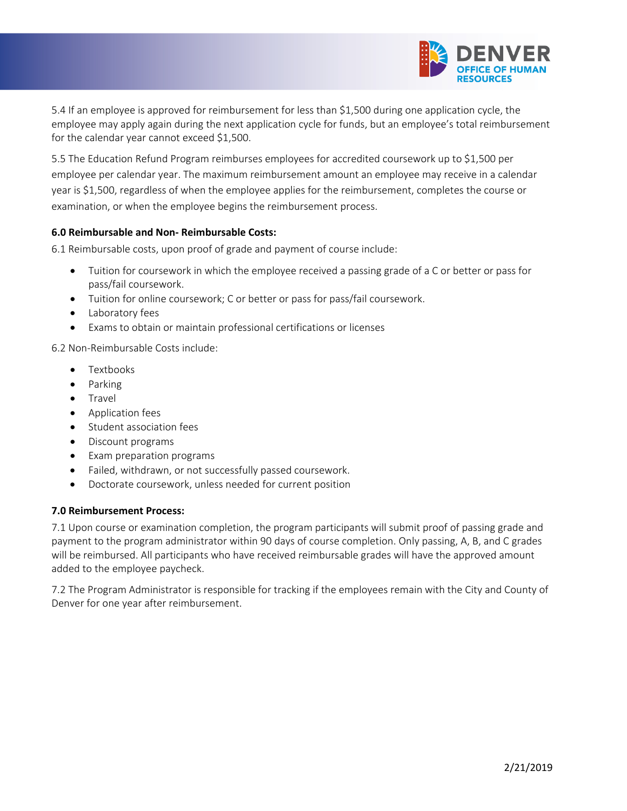

5.4 If an employee is approved for reimbursement for less than \$1,500 during one application cycle, the employee may apply again during the next application cycle for funds, but an employee's total reimbursement for the calendar year cannot exceed \$1,500.

5.5 The Education Refund Program reimburses employees for accredited coursework up to \$1,500 per employee per calendar year. The maximum reimbursement amount an employee may receive in a calendar year is \$1,500, regardless of when the employee applies for the reimbursement, completes the course or examination, or when the employee begins the reimbursement process.

#### **6.0 Reimbursable and Non- Reimbursable Costs:**

6.1 Reimbursable costs, upon proof of grade and payment of course include:

- Tuition for coursework in which the employee received a passing grade of a C or better or pass for pass/fail coursework.
- Tuition for online coursework; C or better or pass for pass/fail coursework.
- Laboratory fees
- Exams to obtain or maintain professional certifications or licenses

6.2 Non-Reimbursable Costs include:

- Textbooks
- Parking
- **Travel**
- Application fees
- Student association fees
- Discount programs
- Exam preparation programs
- Failed, withdrawn, or not successfully passed coursework.
- Doctorate coursework, unless needed for current position

#### **7.0 Reimbursement Process:**

7.1 Upon course or examination completion, the program participants will submit proof of passing grade and payment to the program administrator within 90 days of course completion. Only passing, A, B, and C grades will be reimbursed. All participants who have received reimbursable grades will have the approved amount added to the employee paycheck.

7.2 The Program Administrator is responsible for tracking if the employees remain with the City and County of Denver for one year after reimbursement.